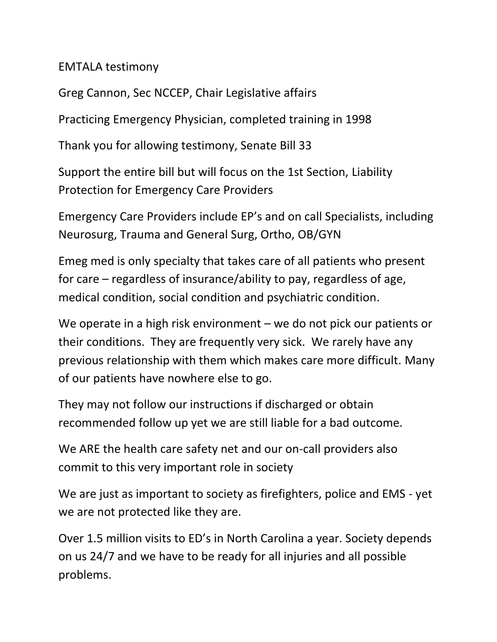EMTALA testimony

Greg Cannon, Sec NCCEP, Chair Legislative affairs

Practicing Emergency Physician, completed training in 1998

Thank you for allowing testimony, Senate Bill 33

Support the entire bill but will focus on the 1st Section, Liability Protection for Emergency Care Providers

Emergency Care Providers include EP's and on call Specialists, including Neurosurg, Trauma and General Surg, Ortho, OB/GYN

Emeg med is only specialty that takes care of all patients who present for care – regardless of insurance/ability to pay, regardless of age, medical condition, social condition and psychiatric condition.

We operate in a high risk environment – we do not pick our patients or their conditions. They are frequently very sick. We rarely have any previous relationship with them which makes care more difficult. Many of our patients have nowhere else to go.

They may not follow our instructions if discharged or obtain recommended follow up yet we are still liable for a bad outcome.

We ARE the health care safety net and our on-call providers also commit to this very important role in society

We are just as important to society as firefighters, police and EMS - yet we are not protected like they are.

Over 1.5 million visits to ED's in North Carolina a year. Society depends on us 24/7 and we have to be ready for all injuries and all possible problems.